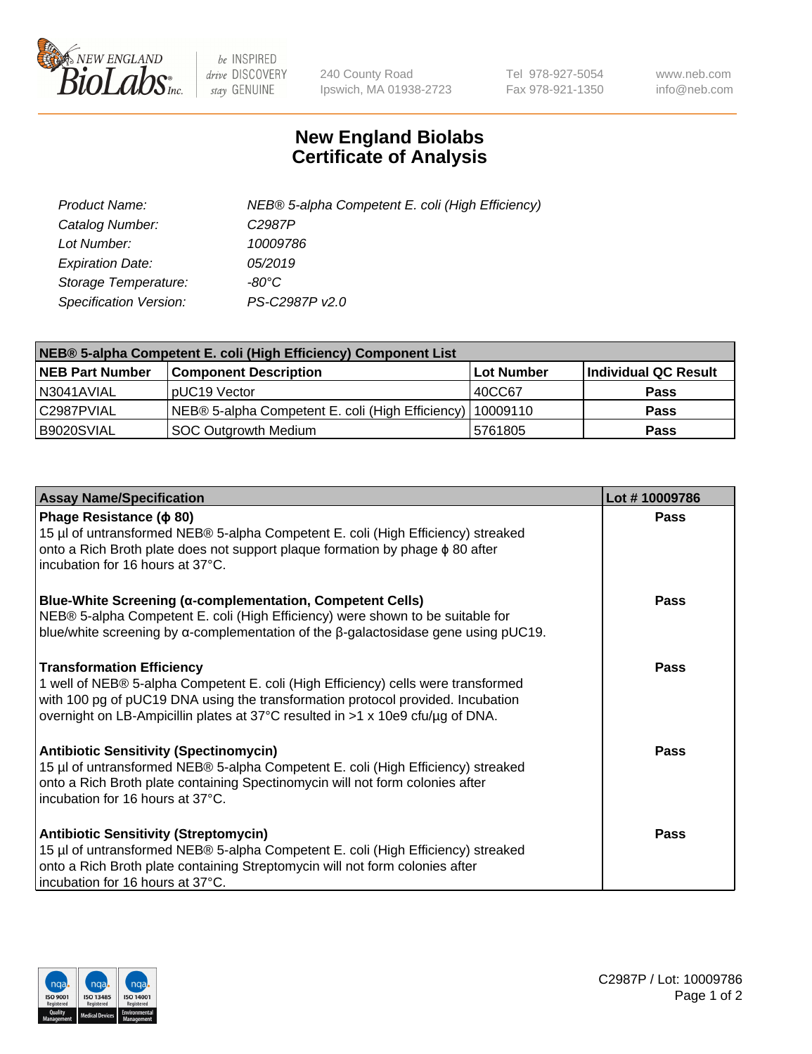

 $be$  INSPIRED drive DISCOVERY stay GENUINE

240 County Road Ipswich, MA 01938-2723 Tel 978-927-5054 Fax 978-921-1350 www.neb.com info@neb.com

## **New England Biolabs Certificate of Analysis**

| Product Name:           | NEB® 5-alpha Competent E. coli (High Efficiency) |
|-------------------------|--------------------------------------------------|
| Catalog Number:         | C <sub>2987</sub> P                              |
| Lot Number:             | 10009786                                         |
| <b>Expiration Date:</b> | 05/2019                                          |
| Storage Temperature:    | -80°C                                            |
| Specification Version:  | PS-C2987P v2.0                                   |

| NEB® 5-alpha Competent E. coli (High Efficiency) Component List |                                                  |                   |                      |  |
|-----------------------------------------------------------------|--------------------------------------------------|-------------------|----------------------|--|
| <b>NEB Part Number</b>                                          | <b>Component Description</b>                     | <b>Lot Number</b> | Individual QC Result |  |
| N3041AVIAL                                                      | pUC19 Vector                                     | 40CC67            | <b>Pass</b>          |  |
| C2987PVIAL                                                      | NEB® 5-alpha Competent E. coli (High Efficiency) | 10009110          | <b>Pass</b>          |  |
| B9020SVIAL                                                      | <b>SOC Outgrowth Medium</b>                      | 5761805           | <b>Pass</b>          |  |

| <b>Assay Name/Specification</b>                                                                                                                                                                                                                                                            | Lot #10009786 |
|--------------------------------------------------------------------------------------------------------------------------------------------------------------------------------------------------------------------------------------------------------------------------------------------|---------------|
| Phage Resistance ( $\phi$ 80)<br>15 µl of untransformed NEB® 5-alpha Competent E. coli (High Efficiency) streaked<br>onto a Rich Broth plate does not support plaque formation by phage $\phi$ 80 after<br>incubation for 16 hours at 37°C.                                                | <b>Pass</b>   |
| Blue-White Screening (α-complementation, Competent Cells)<br>NEB® 5-alpha Competent E. coli (High Efficiency) were shown to be suitable for<br>blue/white screening by $\alpha$ -complementation of the $\beta$ -galactosidase gene using pUC19.                                           | Pass          |
| <b>Transformation Efficiency</b><br>1 well of NEB® 5-alpha Competent E. coli (High Efficiency) cells were transformed<br>with 100 pg of pUC19 DNA using the transformation protocol provided. Incubation<br>overnight on LB-Ampicillin plates at 37°C resulted in >1 x 10e9 cfu/µg of DNA. | Pass          |
| <b>Antibiotic Sensitivity (Spectinomycin)</b><br>15 µl of untransformed NEB® 5-alpha Competent E. coli (High Efficiency) streaked<br>onto a Rich Broth plate containing Spectinomycin will not form colonies after<br>incubation for 16 hours at 37°C.                                     | Pass          |
| <b>Antibiotic Sensitivity (Streptomycin)</b><br>15 µl of untransformed NEB® 5-alpha Competent E. coli (High Efficiency) streaked<br>onto a Rich Broth plate containing Streptomycin will not form colonies after<br>incubation for 16 hours at 37°C.                                       | Pass          |